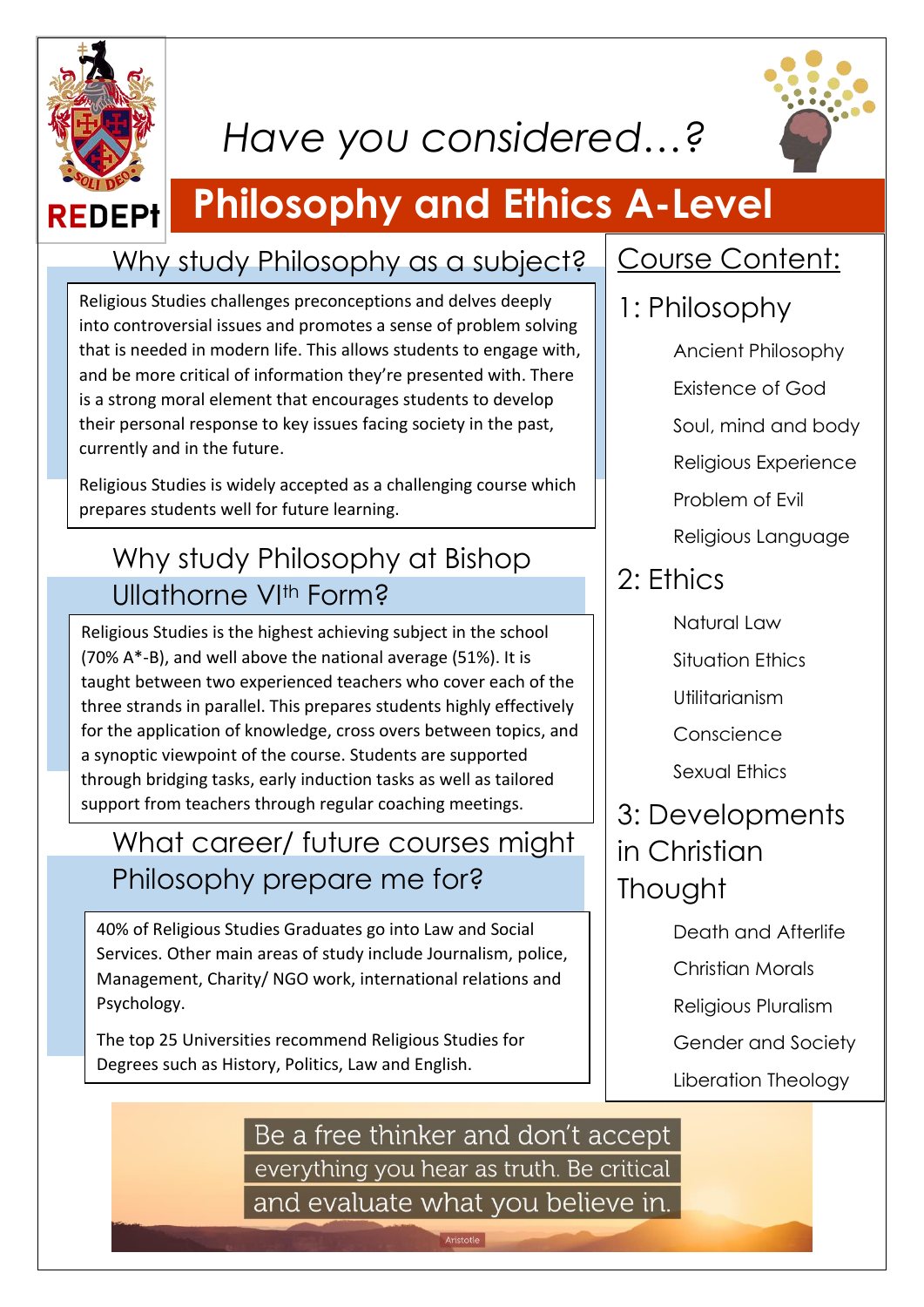

# *Have you considered…?*



# **Philosophy and Ethics A-Level**

#### Why study Philosophy as a subject?

Religious Studies challenges preconceptions and delves deeply into controversial issues and promotes a sense of problem solving that is needed in modern life. This allows students to engage with, and be more critical of information they're presented with. There is a strong moral element that encourages students to develop their personal response to key issues facing society in the past, currently and in the future.

Religious Studies is widely accepted as a challenging course which prepares students well for future learning.

### Why study Philosophy at Bishop Ullathorne VIth Form?

Religious Studies is the highest achieving subject in the school (70% A\*-B), and well above the national average (51%). It is taught between two experienced teachers who cover each of the three strands in parallel. This prepares students highly effectively for the application of knowledge, cross overs between topics, and a synoptic viewpoint of the course. Students are supported through bridging tasks, early induction tasks as well as tailored support from teachers through regular coaching meetings.

#### What career/ future courses might Philosophy prepare me for?

40% of Religious Studies Graduates go into Law and Social Services. Other main areas of study include Journalism, police, Management, Charity/ NGO work, international relations and Psychology.

The top 25 Universities recommend Religious Studies for Degrees such as History, Politics, Law and English.

#### Course Content:

#### 1: Philosophy

Ancient Philosophy Existence of God Soul, mind and body Religious Experience Problem of Evil Religious Language

### 2: Ethics

- Natural Law
- Situation Ethics
- Utilitarianism
- Conscience
- Sexual Ethics

#### 3: Developments in Christian **Thought**

- Death and Afterlife
- Christian Morals
- Religious Pluralism
- Gender and Society
- Liberation Theology

Be a free thinker and don't accept everything you hear as truth. Be critical and evaluate what you believe in.